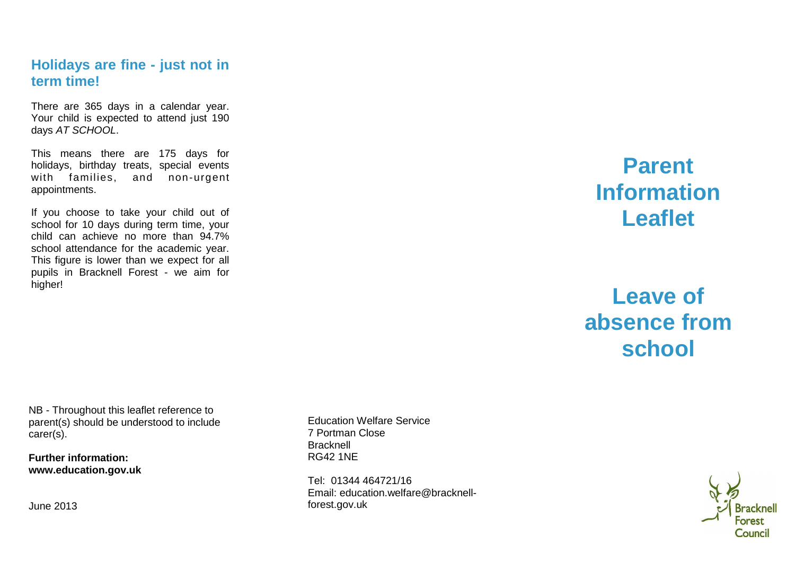## **Holidays are fine - just not in term time!**

There are 365 days in a calendar year. Your child is expected to attend just 190 days AT SCHOOL.

This means there are 175 days for holidays, birthday treats, special events with families, and non-urgent appointments.

If you choose to take your child out of school for 10 days during term time, your child can achieve no more than 94.7% school attendance for the academic year. This figure is lower than we expect for all pupils in Bracknell Forest - we aim for higher!

# **Parent Information Leaflet**

# **Leave of absence from school**

NB - Throughout this leaflet reference to parent(s) should be understood to include carer(s).

**Further information: www.education.gov.uk** 

June 2013

Education Welfare Service 7 Portman Close **Bracknell** RG42 1NE

Tel: 01344 464721/16 Email: education.welfare@bracknellforest.gov.uk